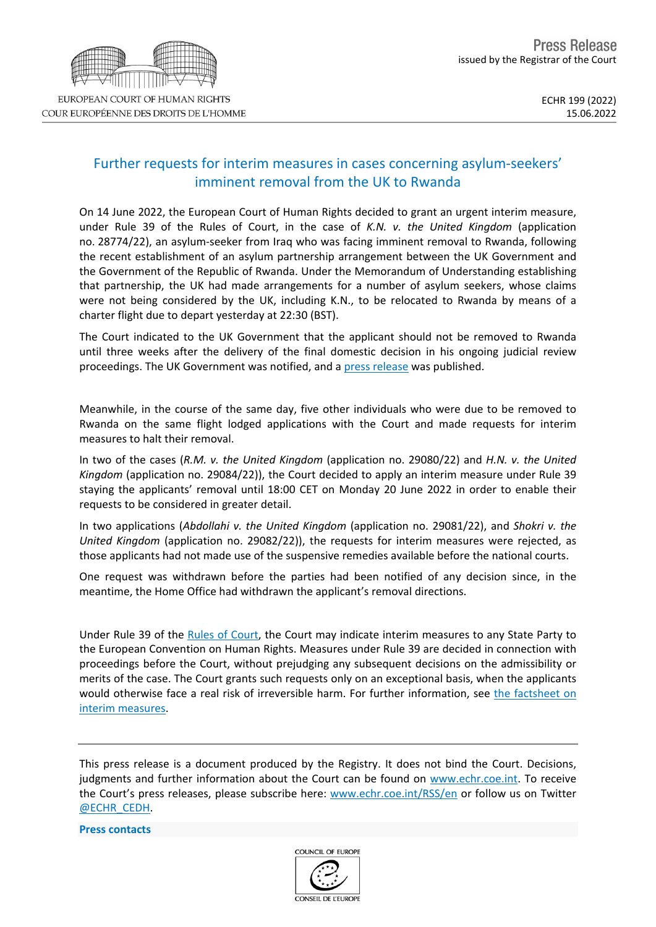## Further requests for interim measures in cases concerning asylum-seekers' imminent removal from the UK to Rwanda

On 14 June 2022, the European Court of Human Rights decided to grant an urgent interim measure, under Rule 39 of the Rules of Court, in the case of *K.N. v. the United Kingdom* (application no. 28774/22), an asylum-seeker from Iraq who was facing imminent removal to Rwanda, following the recent establishment of an asylum partnership arrangement between the UK Government and the Government of the Republic of Rwanda. Under the Memorandum of Understanding establishing that partnership, the UK had made arrangements for a number of asylum seekers, whose claims were not being considered by the UK, including K.N., to be relocated to Rwanda by means of a charter flight due to depart yesterday at 22:30 (BST).

The Court indicated to the UK Government that the applicant should not be removed to Rwanda until three weeks after the delivery of the final domestic decision in his ongoing judicial review proceedings. The UK Government was notified, and a press [release](https://hudoc.echr.coe.int/eng-press?i=003-7359967-10054452) was published.

Meanwhile, in the course of the same day, five other individuals who were due to be removed to Rwanda on the same flight lodged applications with the Court and made requests for interim measures to halt their removal.

In two of the cases (*R.M. v. the United Kingdom* (application no. 29080/22) and *H.N. v. the United Kingdom* (application no. 29084/22)), the Court decided to apply an interim measure under Rule 39 staying the applicants' removal until 18:00 CET on Monday 20 June 2022 in order to enable their requests to be considered in greater detail.

In two applications (*Abdollahi v. the United Kingdom* (application no. 29081/22), and *Shokri v. the United Kingdom* (application no. 29082/22)), the requests for interim measures were rejected, as those applicants had not made use of the suspensive remedies available before the national courts.

One request was withdrawn before the parties had been notified of any decision since, in the meantime, the Home Office had withdrawn the applicant's removal directions.

Under Rule 39 of the Rules of [Court,](https://www.echr.coe.int/Documents/Rules_Court_ENG.pdf) the Court may indicate interim measures to any State Party to the European Convention on Human Rights. Measures under Rule 39 are decided in connection with proceedings before the Court, without prejudging any subsequent decisions on the admissibility or merits of the case. The Court grants such requests only on an exceptional basis, when the applicants would otherwise face a real risk of irreversible harm. For further information, see the [factsheet](https://www.echr.coe.int/Documents/FS_Interim_measures_ENG.pdf) on interim [measures](https://www.echr.coe.int/Documents/FS_Interim_measures_ENG.pdf).

This press release is a document produced by the Registry. It does not bind the Court. Decisions, judgments and further information about the Court can be found on [www.echr.coe.int](http://www.echr.coe.int/). To receive the Court's press releases, please subscribe here: [www.echr.coe.int/RSS/en](http://www.echr.coe.int/RSS/en) or follow us on Twitter [@ECHR\\_CEDH](https://twitter.com/ECHR_CEDH).

**Press contacts**